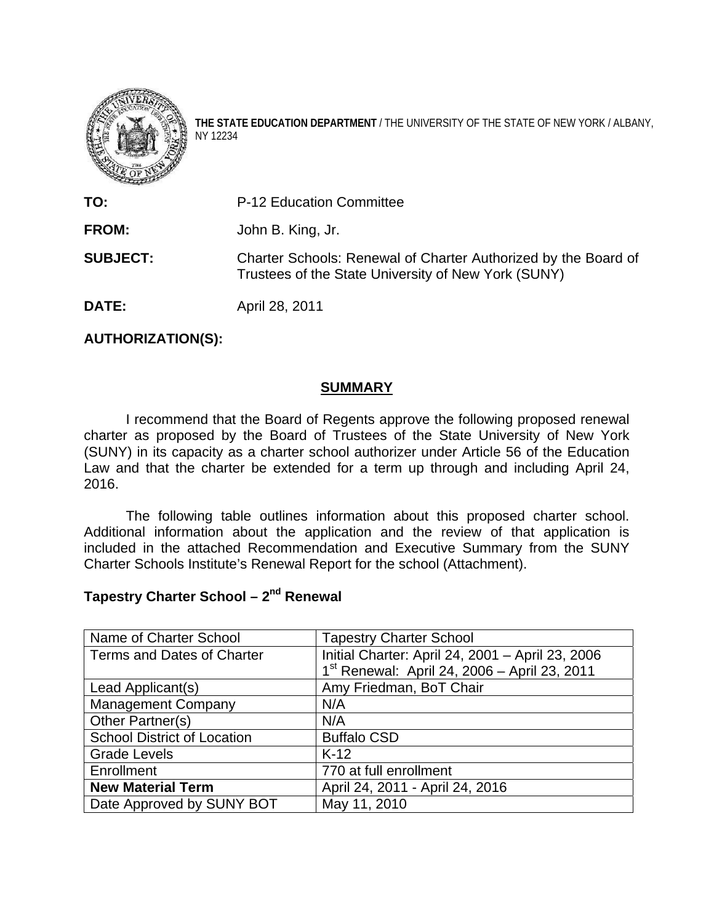

**THE STATE EDUCATION DEPARTMENT** / THE UNIVERSITY OF THE STATE OF NEW YORK / ALBANY, NY 12234

**TO:** P-12 Education Committee **FROM:** John B. King, Jr. **SUBJECT:** Charter Schools: Renewal of Charter Authorized by the Board of Trustees of the State University of New York (SUNY) **DATE:** April 28, 2011

#### **AUTHORIZATION(S):**

## **SUMMARY**

 I recommend that the Board of Regents approve the following proposed renewal charter as proposed by the Board of Trustees of the State University of New York (SUNY) in its capacity as a charter school authorizer under Article 56 of the Education Law and that the charter be extended for a term up through and including April 24, 2016.

 The following table outlines information about this proposed charter school. Additional information about the application and the review of that application is included in the attached Recommendation and Executive Summary from the SUNY Charter Schools Institute's Renewal Report for the school (Attachment).

# **Tapestry Charter School – 2nd Renewal**

| Name of Charter School             | <b>Tapestry Charter School</b>                           |
|------------------------------------|----------------------------------------------------------|
| Terms and Dates of Charter         | Initial Charter: April 24, 2001 - April 23, 2006         |
|                                    | 1 <sup>st</sup> Renewal: April 24, 2006 - April 23, 2011 |
| Lead Applicant(s)                  | Amy Friedman, BoT Chair                                  |
| <b>Management Company</b>          | N/A                                                      |
| Other Partner(s)                   | N/A                                                      |
| <b>School District of Location</b> | <b>Buffalo CSD</b>                                       |
| <b>Grade Levels</b>                | $K-12$                                                   |
| Enrollment                         | 770 at full enrollment                                   |
| <b>New Material Term</b>           | April 24, 2011 - April 24, 2016                          |
| Date Approved by SUNY BOT          | May 11, 2010                                             |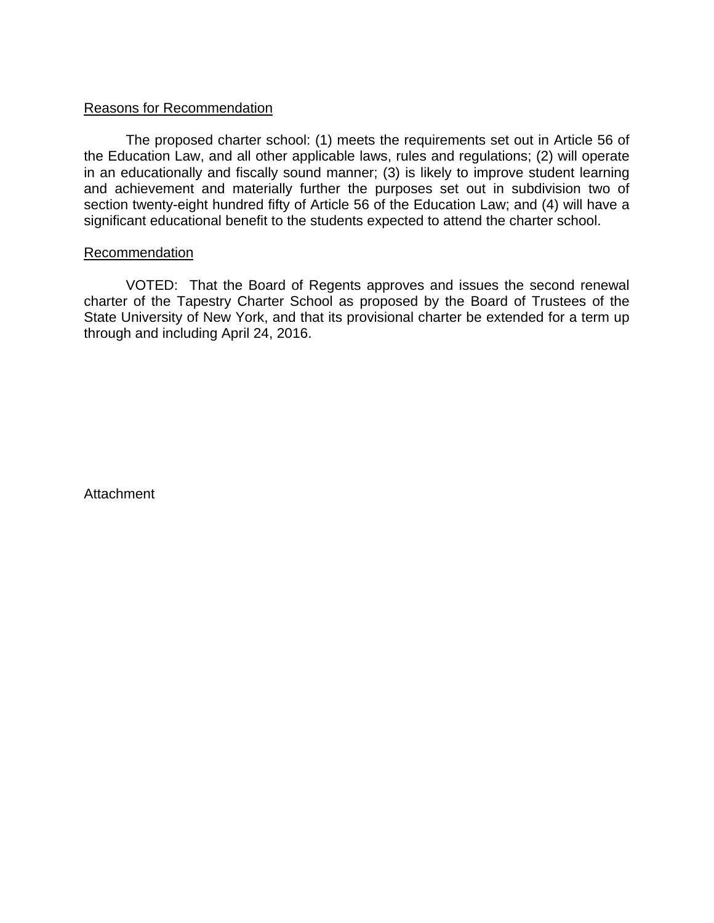### Reasons for Recommendation

The proposed charter school: (1) meets the requirements set out in Article 56 of the Education Law, and all other applicable laws, rules and regulations; (2) will operate in an educationally and fiscally sound manner; (3) is likely to improve student learning and achievement and materially further the purposes set out in subdivision two of section twenty-eight hundred fifty of Article 56 of the Education Law; and (4) will have a significant educational benefit to the students expected to attend the charter school.

#### Recommendation

 VOTED: That the Board of Regents approves and issues the second renewal charter of the Tapestry Charter School as proposed by the Board of Trustees of the State University of New York, and that its provisional charter be extended for a term up through and including April 24, 2016.

**Attachment**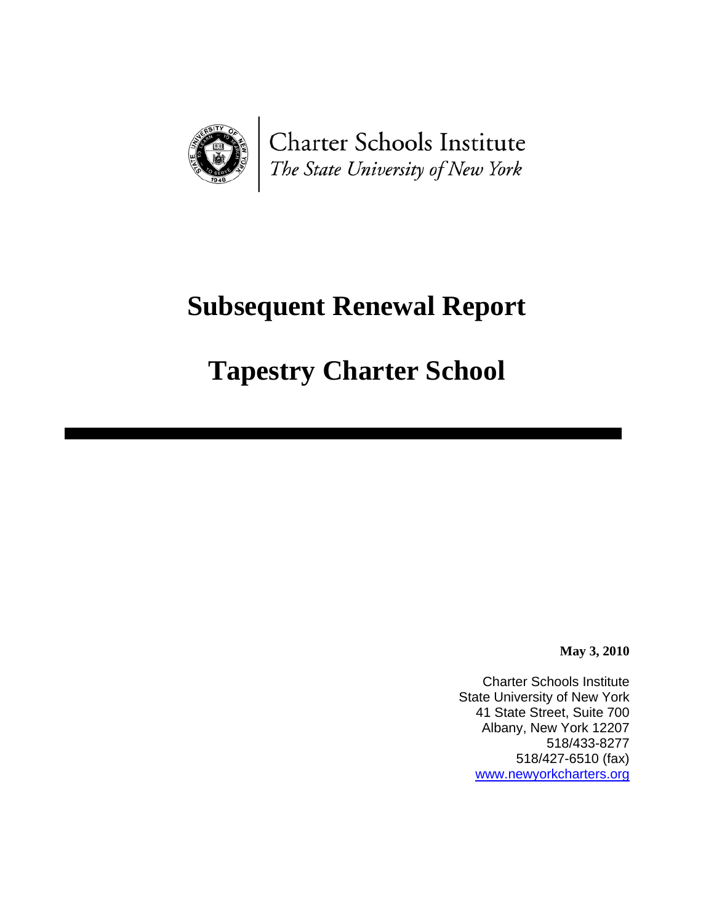

Charter Schools Institute The State University of New York

# **Subsequent Renewal Report**

# **Tapestry Charter School**

**May 3, 2010** 

Charter Schools Institute State University of New York 41 State Street, Suite 700 Albany, New York 12207 518/433-8277 518/427-6510 (fax) [www.newyorkcharters.org](http://www.newyorkcharters.org/)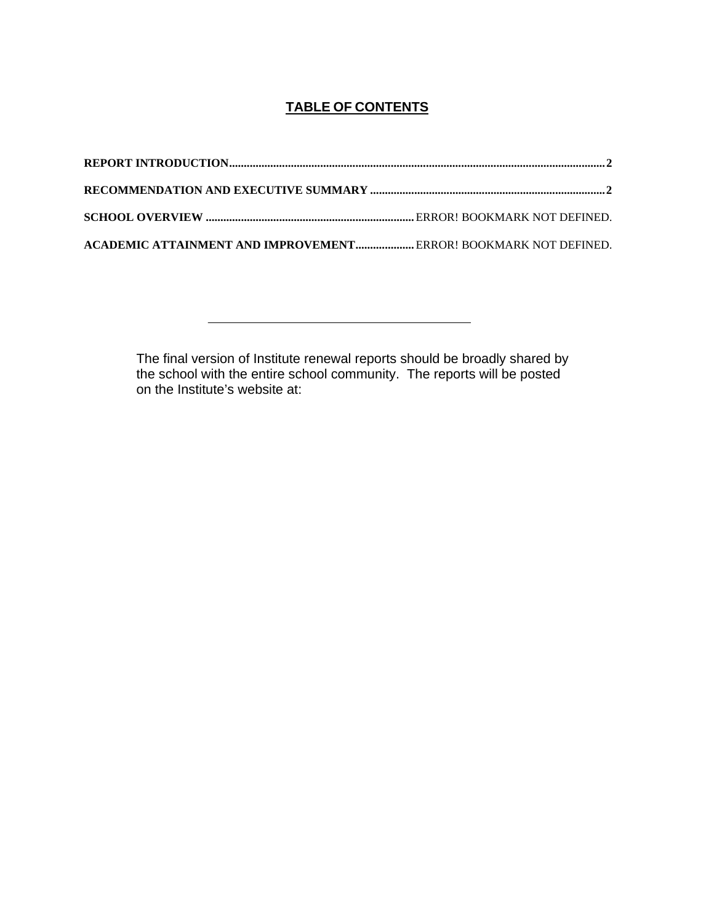# **TABLE OF CONTENTS**

| ACADEMIC ATTAINMENT AND IMPROVEMENT ERROR! BOOKMARK NOT DEFINED. |  |
|------------------------------------------------------------------|--|

The final version of Institute renewal reports should be broadly shared by the school with the entire school community. The reports will be posted on the Institute's website at: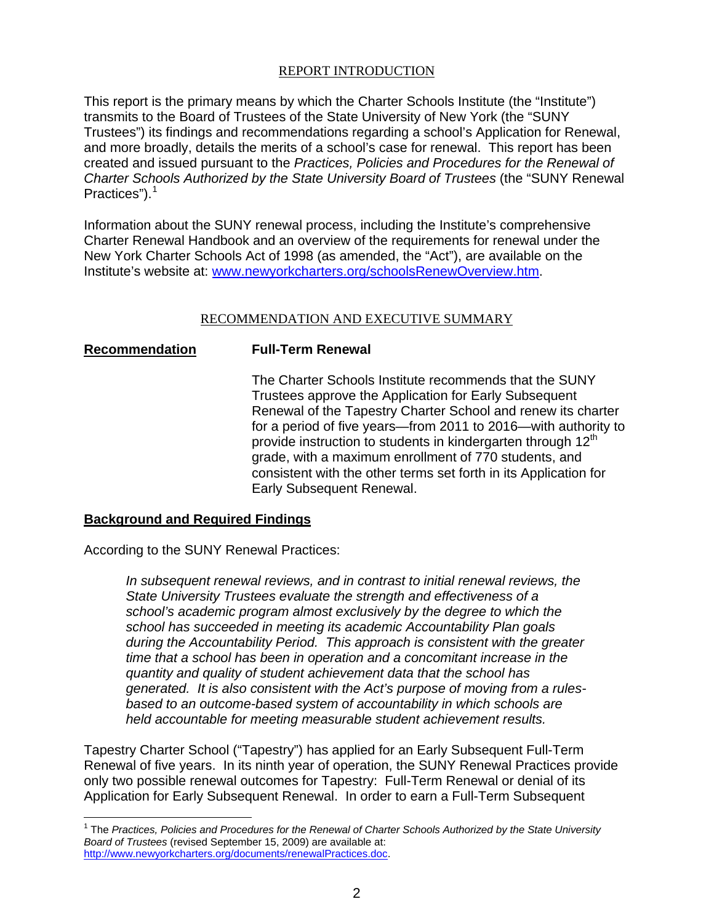#### REPORT INTRODUCTION

<span id="page-4-0"></span>This report is the primary means by which the Charter Schools Institute (the "Institute") transmits to the Board of Trustees of the State University of New York (the "SUNY Trustees") its findings and recommendations regarding a school's Application for Renewal, and more broadly, details the merits of a school's case for renewal. This report has been created and issued pursuant to the *Practices, Policies and Procedures for the Renewal of Charter Schools Authorized by the State University Board of Trustees* (the "SUNY Renewal Practices" $)$ .<sup>[1](#page-4-2)</sup>

Information about the SUNY renewal process, including the Institute's comprehensive Charter Renewal Handbook and an overview of the requirements for renewal under the New York Charter Schools Act of 1998 (as amended, the "Act"), are available on the Institute's website at: [www.newyorkcharters.org/schoolsRenewOverview.htm.](http://www.newyorkcharters.org/schoolsRenewOverview.htm)

#### RECOMMENDATION AND EXECUTIVE SUMMARY

#### <span id="page-4-1"></span>**Recommendation Full-Term Renewal**

 $\overline{a}$ 

The Charter Schools Institute recommends that the SUNY Trustees approve the Application for Early Subsequent Renewal of the Tapestry Charter School and renew its charter for a period of five years—from 2011 to 2016—with authority to provide instruction to students in kindergarten through  $12<sup>th</sup>$ grade, with a maximum enrollment of 770 students, and consistent with the other terms set forth in its Application for Early Subsequent Renewal.

#### **Background and Required Findings**

According to the SUNY Renewal Practices:

*In subsequent renewal reviews, and in contrast to initial renewal reviews, the State University Trustees evaluate the strength and effectiveness of a school's academic program almost exclusively by the degree to which the school has succeeded in meeting its academic Accountability Plan goals during the Accountability Period. This approach is consistent with the greater time that a school has been in operation and a concomitant increase in the quantity and quality of student achievement data that the school has generated. It is also consistent with the Act's purpose of moving from a rulesbased to an outcome-based system of accountability in which schools are held accountable for meeting measurable student achievement results.* 

Tapestry Charter School ("Tapestry") has applied for an Early Subsequent Full-Term Renewal of five years. In its ninth year of operation, the SUNY Renewal Practices provide only two possible renewal outcomes for Tapestry: Full-Term Renewal or denial of its Application for Early Subsequent Renewal. In order to earn a Full-Term Subsequent

<span id="page-4-2"></span><sup>&</sup>lt;sup>1</sup> The *Practices, Policies and Procedures for the Renewal of Charter Schools Authorized by the State University Board of Trustees* (revised September 15, 2009) are available at: <http://www.newyorkcharters.org/documents/renewalPractices.doc>.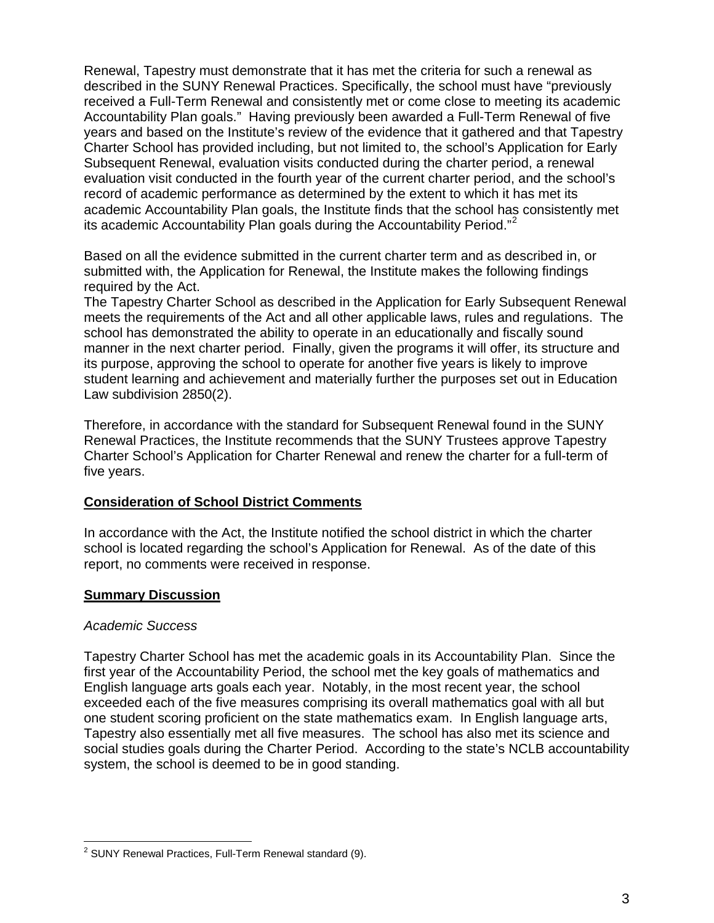Renewal, Tapestry must demonstrate that it has met the criteria for such a renewal as described in the SUNY Renewal Practices. Specifically, the school must have "previously received a Full-Term Renewal and consistently met or come close to meeting its academic Accountability Plan goals." Having previously been awarded a Full-Term Renewal of five years and based on the Institute's review of the evidence that it gathered and that Tapestry Charter School has provided including, but not limited to, the school's Application for Early Subsequent Renewal, evaluation visits conducted during the charter period, a renewal evaluation visit conducted in the fourth year of the current charter period, and the school's record of academic performance as determined by the extent to which it has met its academic Accountability Plan goals, the Institute finds that the school has consistently met its academic Accountability Plan goals during the Accountability Period."<sup>[2](#page-5-0)</sup>

Based on all the evidence submitted in the current charter term and as described in, or submitted with, the Application for Renewal, the Institute makes the following findings required by the Act.

The Tapestry Charter School as described in the Application for Early Subsequent Renewal meets the requirements of the Act and all other applicable laws, rules and regulations. The school has demonstrated the ability to operate in an educationally and fiscally sound manner in the next charter period. Finally, given the programs it will offer, its structure and its purpose, approving the school to operate for another five years is likely to improve student learning and achievement and materially further the purposes set out in Education Law subdivision 2850(2).

Therefore, in accordance with the standard for Subsequent Renewal found in the SUNY Renewal Practices, the Institute recommends that the SUNY Trustees approve Tapestry Charter School's Application for Charter Renewal and renew the charter for a full-term of five years.

#### **Consideration of School District Comments**

In accordance with the Act, the Institute notified the school district in which the charter school is located regarding the school's Application for Renewal. As of the date of this report, no comments were received in response.

## **Summary Discussion**

#### *Academic Success*

Tapestry Charter School has met the academic goals in its Accountability Plan. Since the first year of the Accountability Period, the school met the key goals of mathematics and English language arts goals each year. Notably, in the most recent year, the school exceeded each of the five measures comprising its overall mathematics goal with all but one student scoring proficient on the state mathematics exam. In English language arts, Tapestry also essentially met all five measures. The school has also met its science and social studies goals during the Charter Period. According to the state's NCLB accountability system, the school is deemed to be in good standing.

<span id="page-5-0"></span> 2 SUNY Renewal Practices, Full-Term Renewal standard (9).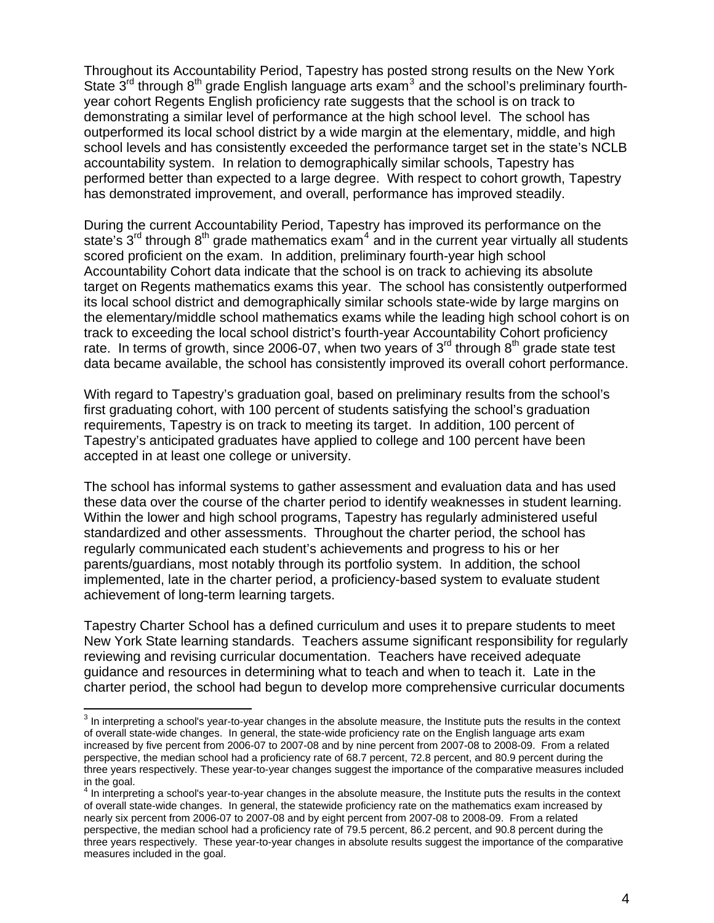Throughout its Accountability Period, Tapestry has posted strong results on the New York State  $\tilde{3}^{rd}$  $\tilde{3}^{rd}$  $\tilde{3}^{rd}$  through  $8^{th}$  grade English language arts exam<sup>3</sup> and the school's preliminary fourthyear cohort Regents English proficiency rate suggests that the school is on track to demonstrating a similar level of performance at the high school level. The school has outperformed its local school district by a wide margin at the elementary, middle, and high school levels and has consistently exceeded the performance target set in the state's NCLB accountability system. In relation to demographically similar schools, Tapestry has performed better than expected to a large degree. With respect to cohort growth, Tapestry has demonstrated improvement, and overall, performance has improved steadily.

During the current Accountability Period, Tapestry has improved its performance on the state's  $3^{\text{rd}}$  through  $8^{\text{th}}$  grade mathematics exam<sup>[4](#page-6-1)</sup> and in the current year virtually all students scored proficient on the exam. In addition, preliminary fourth-year high school Accountability Cohort data indicate that the school is on track to achieving its absolute target on Regents mathematics exams this year. The school has consistently outperformed its local school district and demographically similar schools state-wide by large margins on the elementary/middle school mathematics exams while the leading high school cohort is on track to exceeding the local school district's fourth-year Accountability Cohort proficiency rate. In terms of growth, since 2006-07, when two years of  $3<sup>rd</sup>$  through  $8<sup>th</sup>$  grade state test data became available, the school has consistently improved its overall cohort performance.

With regard to Tapestry's graduation goal, based on preliminary results from the school's first graduating cohort, with 100 percent of students satisfying the school's graduation requirements, Tapestry is on track to meeting its target. In addition, 100 percent of Tapestry's anticipated graduates have applied to college and 100 percent have been accepted in at least one college or university.

The school has informal systems to gather assessment and evaluation data and has used these data over the course of the charter period to identify weaknesses in student learning. Within the lower and high school programs, Tapestry has regularly administered useful standardized and other assessments. Throughout the charter period, the school has regularly communicated each student's achievements and progress to his or her parents/guardians, most notably through its portfolio system. In addition, the school implemented, late in the charter period, a proficiency-based system to evaluate student achievement of long-term learning targets.

Tapestry Charter School has a defined curriculum and uses it to prepare students to meet New York State learning standards. Teachers assume significant responsibility for regularly reviewing and revising curricular documentation. Teachers have received adequate guidance and resources in determining what to teach and when to teach it. Late in the charter period, the school had begun to develop more comprehensive curricular documents

 $\overline{a}$ 

<span id="page-6-0"></span> $3$  In interpreting a school's year-to-year changes in the absolute measure, the Institute puts the results in the context of overall state-wide changes. In general, the state-wide proficiency rate on the English language arts exam increased by five percent from 2006-07 to 2007-08 and by nine percent from 2007-08 to 2008-09. From a related perspective, the median school had a proficiency rate of 68.7 percent, 72.8 percent, and 80.9 percent during the three years respectively. These year-to-year changes suggest the importance of the comparative measures included in the goal.<br><sup>4</sup> In interpreting a school's year-to-year changes in the absolute measure, the Institute puts the results in the context

<span id="page-6-1"></span>of overall state-wide changes. In general, the statewide proficiency rate on the mathematics exam increased by nearly six percent from 2006-07 to 2007-08 and by eight percent from 2007-08 to 2008-09. From a related perspective, the median school had a proficiency rate of 79.5 percent, 86.2 percent, and 90.8 percent during the three years respectively. These year-to-year changes in absolute results suggest the importance of the comparative measures included in the goal.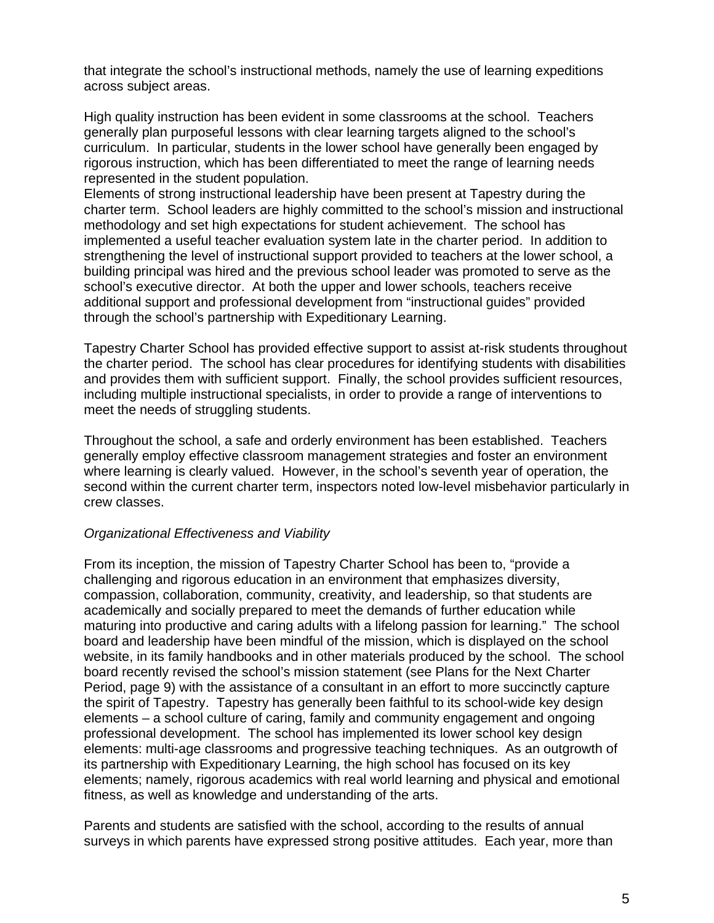that integrate the school's instructional methods, namely the use of learning expeditions across subject areas.

High quality instruction has been evident in some classrooms at the school. Teachers generally plan purposeful lessons with clear learning targets aligned to the school's curriculum. In particular, students in the lower school have generally been engaged by rigorous instruction, which has been differentiated to meet the range of learning needs represented in the student population.

Elements of strong instructional leadership have been present at Tapestry during the charter term. School leaders are highly committed to the school's mission and instructional methodology and set high expectations for student achievement. The school has implemented a useful teacher evaluation system late in the charter period. In addition to strengthening the level of instructional support provided to teachers at the lower school, a building principal was hired and the previous school leader was promoted to serve as the school's executive director. At both the upper and lower schools, teachers receive additional support and professional development from "instructional guides" provided through the school's partnership with Expeditionary Learning.

Tapestry Charter School has provided effective support to assist at-risk students throughout the charter period. The school has clear procedures for identifying students with disabilities and provides them with sufficient support. Finally, the school provides sufficient resources, including multiple instructional specialists, in order to provide a range of interventions to meet the needs of struggling students.

Throughout the school, a safe and orderly environment has been established. Teachers generally employ effective classroom management strategies and foster an environment where learning is clearly valued. However, in the school's seventh year of operation, the second within the current charter term, inspectors noted low-level misbehavior particularly in crew classes.

#### *Organizational Effectiveness and Viability*

From its inception, the mission of Tapestry Charter School has been to, "provide a challenging and rigorous education in an environment that emphasizes diversity, compassion, collaboration, community, creativity, and leadership, so that students are academically and socially prepared to meet the demands of further education while maturing into productive and caring adults with a lifelong passion for learning." The school board and leadership have been mindful of the mission, which is displayed on the school website, in its family handbooks and in other materials produced by the school. The school board recently revised the school's mission statement (see Plans for the Next Charter Period, page 9) with the assistance of a consultant in an effort to more succinctly capture the spirit of Tapestry. Tapestry has generally been faithful to its school-wide key design elements – a school culture of caring, family and community engagement and ongoing professional development. The school has implemented its lower school key design elements: multi-age classrooms and progressive teaching techniques. As an outgrowth of its partnership with Expeditionary Learning, the high school has focused on its key elements; namely, rigorous academics with real world learning and physical and emotional fitness, as well as knowledge and understanding of the arts.

Parents and students are satisfied with the school, according to the results of annual surveys in which parents have expressed strong positive attitudes. Each year, more than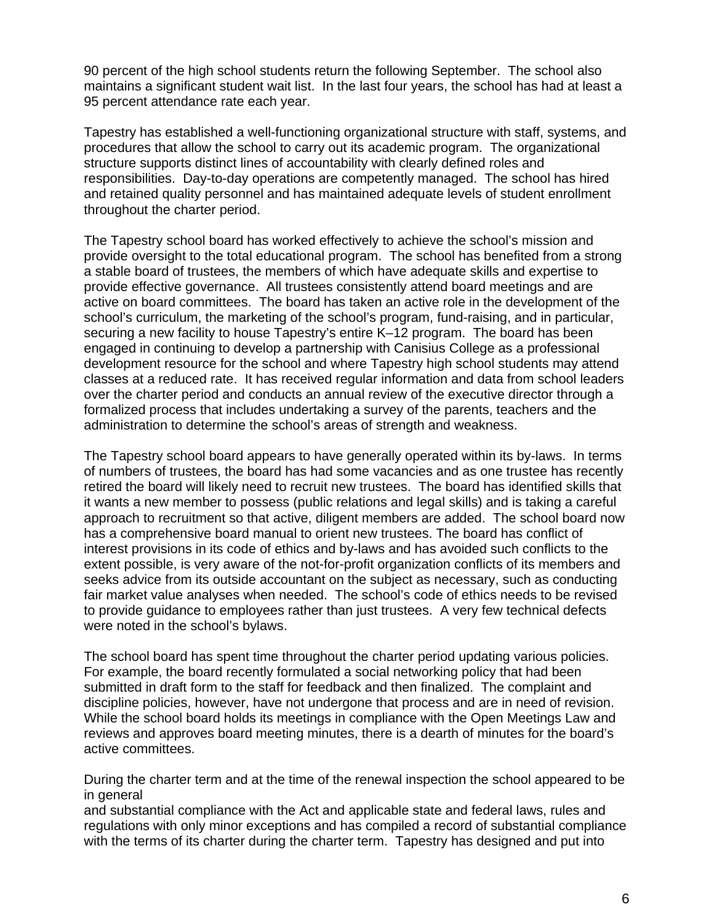90 percent of the high school students return the following September. The school also maintains a significant student wait list. In the last four years, the school has had at least a 95 percent attendance rate each year.

Tapestry has established a well-functioning organizational structure with staff, systems, and procedures that allow the school to carry out its academic program. The organizational structure supports distinct lines of accountability with clearly defined roles and responsibilities. Day-to-day operations are competently managed. The school has hired and retained quality personnel and has maintained adequate levels of student enrollment throughout the charter period.

The Tapestry school board has worked effectively to achieve the school's mission and provide oversight to the total educational program. The school has benefited from a strong a stable board of trustees, the members of which have adequate skills and expertise to provide effective governance. All trustees consistently attend board meetings and are active on board committees. The board has taken an active role in the development of the school's curriculum, the marketing of the school's program, fund-raising, and in particular, securing a new facility to house Tapestry's entire K–12 program. The board has been engaged in continuing to develop a partnership with Canisius College as a professional development resource for the school and where Tapestry high school students may attend classes at a reduced rate. It has received regular information and data from school leaders over the charter period and conducts an annual review of the executive director through a formalized process that includes undertaking a survey of the parents, teachers and the administration to determine the school's areas of strength and weakness.

The Tapestry school board appears to have generally operated within its by-laws. In terms of numbers of trustees, the board has had some vacancies and as one trustee has recently retired the board will likely need to recruit new trustees. The board has identified skills that it wants a new member to possess (public relations and legal skills) and is taking a careful approach to recruitment so that active, diligent members are added. The school board now has a comprehensive board manual to orient new trustees. The board has conflict of interest provisions in its code of ethics and by-laws and has avoided such conflicts to the extent possible, is very aware of the not-for-profit organization conflicts of its members and seeks advice from its outside accountant on the subject as necessary, such as conducting fair market value analyses when needed. The school's code of ethics needs to be revised to provide guidance to employees rather than just trustees. A very few technical defects were noted in the school's bylaws.

The school board has spent time throughout the charter period updating various policies. For example, the board recently formulated a social networking policy that had been submitted in draft form to the staff for feedback and then finalized. The complaint and discipline policies, however, have not undergone that process and are in need of revision. While the school board holds its meetings in compliance with the Open Meetings Law and reviews and approves board meeting minutes, there is a dearth of minutes for the board's active committees.

During the charter term and at the time of the renewal inspection the school appeared to be in general

and substantial compliance with the Act and applicable state and federal laws, rules and regulations with only minor exceptions and has compiled a record of substantial compliance with the terms of its charter during the charter term. Tapestry has designed and put into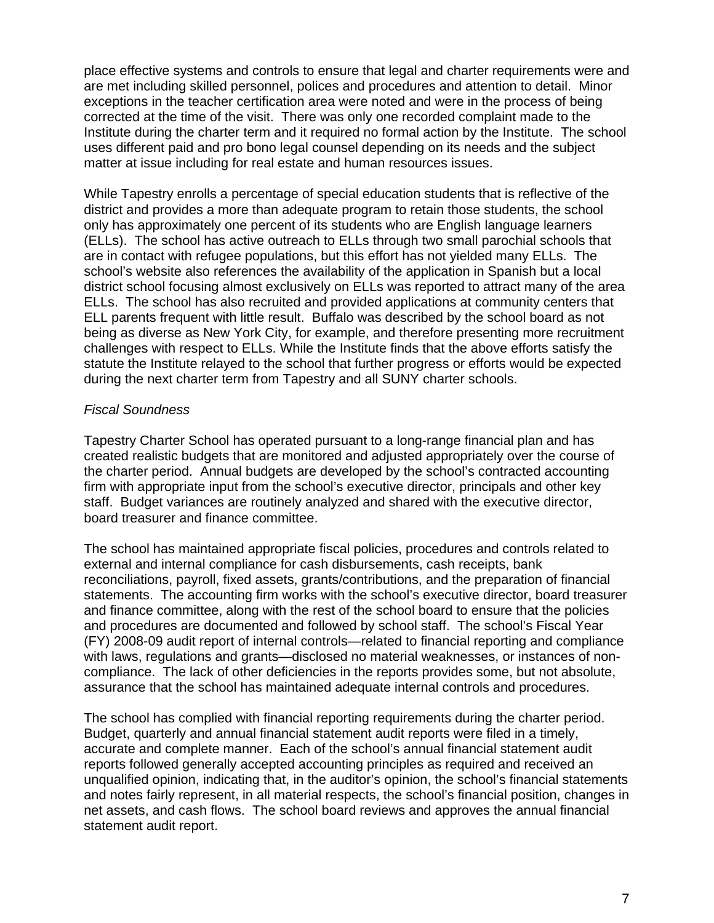place effective systems and controls to ensure that legal and charter requirements were and are met including skilled personnel, polices and procedures and attention to detail. Minor exceptions in the teacher certification area were noted and were in the process of being corrected at the time of the visit. There was only one recorded complaint made to the Institute during the charter term and it required no formal action by the Institute. The school uses different paid and pro bono legal counsel depending on its needs and the subject matter at issue including for real estate and human resources issues.

While Tapestry enrolls a percentage of special education students that is reflective of the district and provides a more than adequate program to retain those students, the school only has approximately one percent of its students who are English language learners (ELLs). The school has active outreach to ELLs through two small parochial schools that are in contact with refugee populations, but this effort has not yielded many ELLs. The school's website also references the availability of the application in Spanish but a local district school focusing almost exclusively on ELLs was reported to attract many of the area ELLs. The school has also recruited and provided applications at community centers that ELL parents frequent with little result. Buffalo was described by the school board as not being as diverse as New York City, for example, and therefore presenting more recruitment challenges with respect to ELLs. While the Institute finds that the above efforts satisfy the statute the Institute relayed to the school that further progress or efforts would be expected during the next charter term from Tapestry and all SUNY charter schools.

#### *Fiscal Soundness*

Tapestry Charter School has operated pursuant to a long-range financial plan and has created realistic budgets that are monitored and adjusted appropriately over the course of the charter period. Annual budgets are developed by the school's contracted accounting firm with appropriate input from the school's executive director, principals and other key staff. Budget variances are routinely analyzed and shared with the executive director, board treasurer and finance committee.

The school has maintained appropriate fiscal policies, procedures and controls related to external and internal compliance for cash disbursements, cash receipts, bank reconciliations, payroll, fixed assets, grants/contributions, and the preparation of financial statements. The accounting firm works with the school's executive director, board treasurer and finance committee, along with the rest of the school board to ensure that the policies and procedures are documented and followed by school staff. The school's Fiscal Year (FY) 2008-09 audit report of internal controls—related to financial reporting and compliance with laws, regulations and grants—disclosed no material weaknesses, or instances of noncompliance. The lack of other deficiencies in the reports provides some, but not absolute, assurance that the school has maintained adequate internal controls and procedures.

The school has complied with financial reporting requirements during the charter period. Budget, quarterly and annual financial statement audit reports were filed in a timely, accurate and complete manner. Each of the school's annual financial statement audit reports followed generally accepted accounting principles as required and received an unqualified opinion, indicating that, in the auditor's opinion, the school's financial statements and notes fairly represent, in all material respects, the school's financial position, changes in net assets, and cash flows. The school board reviews and approves the annual financial statement audit report.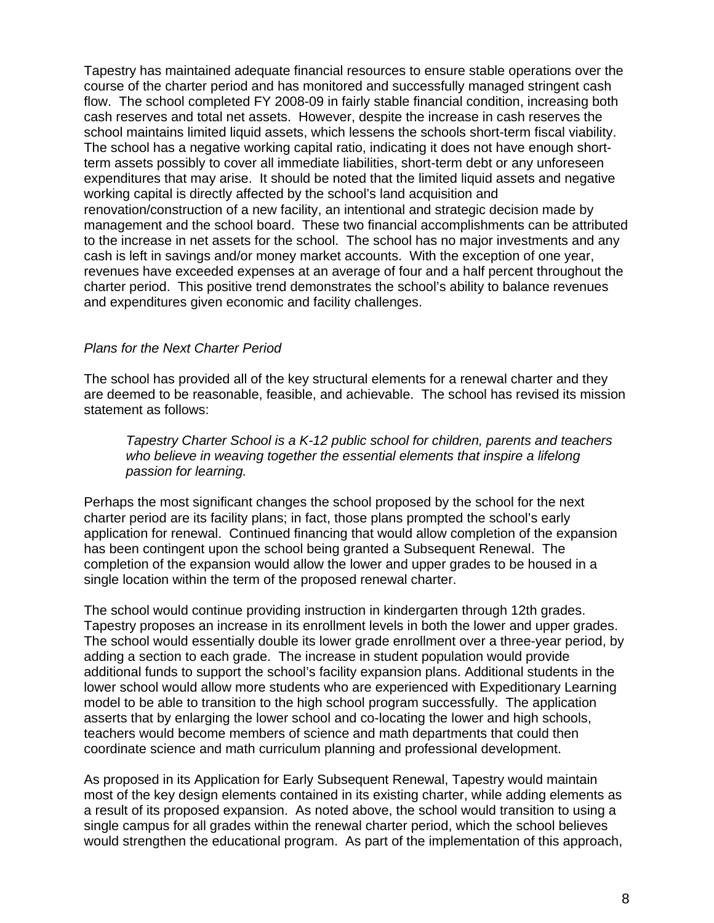Tapestry has maintained adequate financial resources to ensure stable operations over the course of the charter period and has monitored and successfully managed stringent cash flow. The school completed FY 2008-09 in fairly stable financial condition, increasing both cash reserves and total net assets. However, despite the increase in cash reserves the school maintains limited liquid assets, which lessens the schools short-term fiscal viability. The school has a negative working capital ratio, indicating it does not have enough shortterm assets possibly to cover all immediate liabilities, short-term debt or any unforeseen expenditures that may arise. It should be noted that the limited liquid assets and negative working capital is directly affected by the school's land acquisition and renovation/construction of a new facility, an intentional and strategic decision made by management and the school board. These two financial accomplishments can be attributed to the increase in net assets for the school. The school has no major investments and any cash is left in savings and/or money market accounts. With the exception of one year, revenues have exceeded expenses at an average of four and a half percent throughout the charter period. This positive trend demonstrates the school's ability to balance revenues and expenditures given economic and facility challenges.

#### *Plans for the Next Charter Period*

The school has provided all of the key structural elements for a renewal charter and they are deemed to be reasonable, feasible, and achievable. The school has revised its mission statement as follows:

*Tapestry Charter School is a K-12 public school for children, parents and teachers*  who believe in weaving together the essential elements that inspire a lifelong *passion for learning.* 

Perhaps the most significant changes the school proposed by the school for the next charter period are its facility plans; in fact, those plans prompted the school's early application for renewal. Continued financing that would allow completion of the expansion has been contingent upon the school being granted a Subsequent Renewal. The completion of the expansion would allow the lower and upper grades to be housed in a single location within the term of the proposed renewal charter.

The school would continue providing instruction in kindergarten through 12th grades. Tapestry proposes an increase in its enrollment levels in both the lower and upper grades. The school would essentially double its lower grade enrollment over a three-year period, by adding a section to each grade. The increase in student population would provide additional funds to support the school's facility expansion plans. Additional students in the lower school would allow more students who are experienced with Expeditionary Learning model to be able to transition to the high school program successfully. The application asserts that by enlarging the lower school and co-locating the lower and high schools, teachers would become members of science and math departments that could then coordinate science and math curriculum planning and professional development.

As proposed in its Application for Early Subsequent Renewal, Tapestry would maintain most of the key design elements contained in its existing charter, while adding elements as a result of its proposed expansion. As noted above, the school would transition to using a single campus for all grades within the renewal charter period, which the school believes would strengthen the educational program. As part of the implementation of this approach,